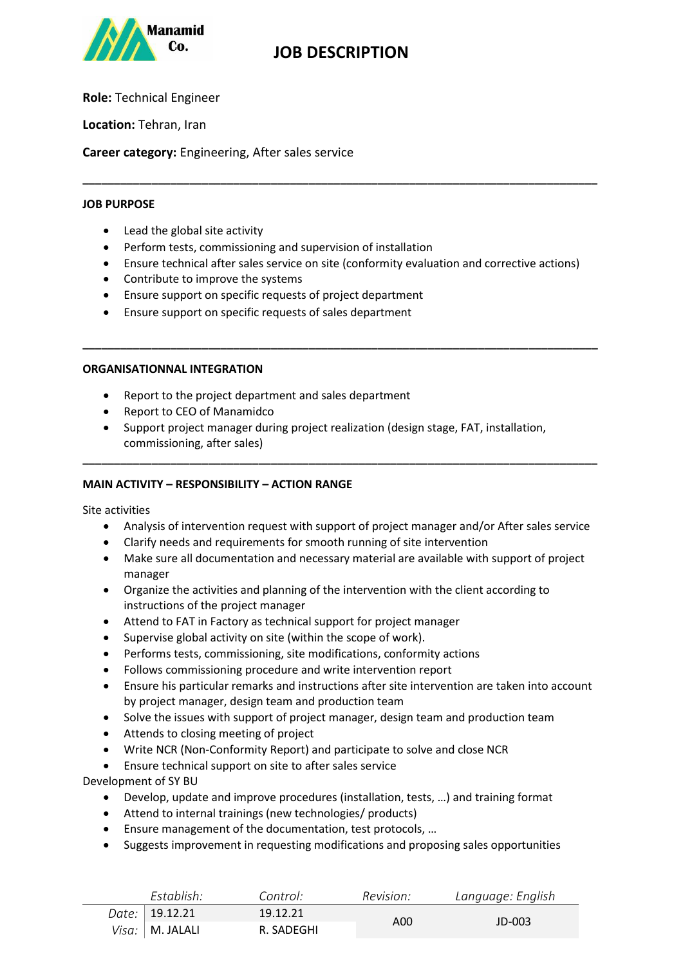

# **JOB DESCRIPTION**

**Role:** Technical Engineer

**Location:** Tehran, Iran

**Career category:** Engineering, After sales service

#### **JOB PURPOSE**

- Lead the global site activity
- Perform tests, commissioning and supervision of installation
- Ensure technical after sales service on site (conformity evaluation and corrective actions)

**\_\_\_\_\_\_\_\_\_\_\_\_\_\_\_\_\_\_\_\_\_\_\_\_\_\_\_\_\_\_\_\_\_\_\_\_\_\_\_\_\_\_\_\_\_\_\_\_\_\_\_\_\_\_\_\_\_\_\_\_\_\_\_\_\_\_\_\_\_\_\_\_\_\_\_\_\_\_\_\_\_\_**

**\_\_\_\_\_\_\_\_\_\_\_\_\_\_\_\_\_\_\_\_\_\_\_\_\_\_\_\_\_\_\_\_\_\_\_\_\_\_\_\_\_\_\_\_\_\_\_\_\_\_\_\_\_\_\_\_\_\_\_\_\_\_\_\_\_\_\_\_\_\_\_\_\_\_\_\_\_\_\_\_\_\_**

- Contribute to improve the systems
- Ensure support on specific requests of project department
- Ensure support on specific requests of sales department

### **ORGANISATIONNAL INTEGRATION**

- Report to the project department and sales department
- Report to CEO of Manamidco
- Support project manager during project realization (design stage, FAT, installation, commissioning, after sales)

**\_\_\_\_\_\_\_\_\_\_\_\_\_\_\_\_\_\_\_\_\_\_\_\_\_\_\_\_\_\_\_\_\_\_\_\_\_\_\_\_\_\_\_\_\_\_\_\_\_\_\_\_\_\_\_\_\_\_\_\_\_\_\_\_\_\_\_\_\_\_\_\_\_\_\_\_\_\_\_\_\_\_**

### **MAIN ACTIVITY – RESPONSIBILITY – ACTION RANGE**

Site activities

- Analysis of intervention request with support of project manager and/or After sales service
- Clarify needs and requirements for smooth running of site intervention
- Make sure all documentation and necessary material are available with support of project manager
- Organize the activities and planning of the intervention with the client according to instructions of the project manager
- Attend to FAT in Factory as technical support for project manager
- Supervise global activity on site (within the scope of work).
- Performs tests, commissioning, site modifications, conformity actions
- Follows commissioning procedure and write intervention report
- Ensure his particular remarks and instructions after site intervention are taken into account by project manager, design team and production team
- Solve the issues with support of project manager, design team and production team
- Attends to closing meeting of project
- Write NCR (Non-Conformity Report) and participate to solve and close NCR
- Ensure technical support on site to after sales service

Development of SY BU

- Develop, update and improve procedures (installation, tests, …) and training format
- Attend to internal trainings (new technologies/ products)
- Ensure management of the documentation, test protocols, …
- Suggests improvement in requesting modifications and proposing sales opportunities

| Establish:         | Control:   | Revision: | Language: English |
|--------------------|------------|-----------|-------------------|
| Date:   19.12.21 \ | 19.12.21   |           | $JD$ -003         |
| Visa:   M. JALALI  | R. SADEGHI | A00       |                   |